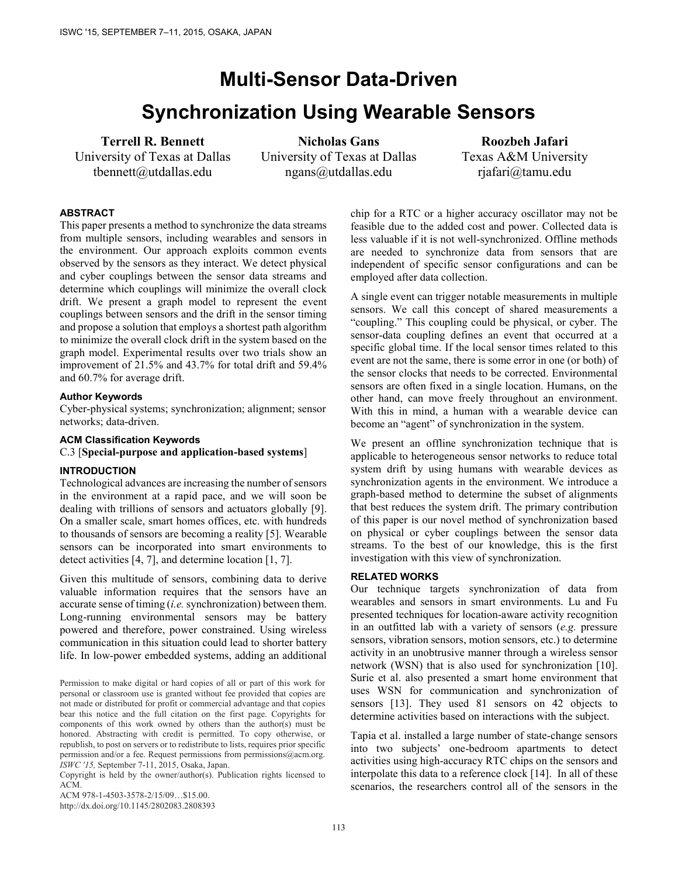# **Multi-Sensor Data-Driven Synchronization Using Wearable Sensors**

# **Terrell R. Bennett**

University of Texas at Dallas tbennett@utdallas.edu

**Nicholas Gans**  University of Texas at Dallas ngans@utdallas.edu

**Roozbeh Jafari**  Texas A&M University rjafari@tamu.edu

## **ABSTRACT**

This paper presents a method to synchronize the data streams from multiple sensors, including wearables and sensors in the environment. Our approach exploits common events observed by the sensors as they interact. We detect physical and cyber couplings between the sensor data streams and determine which couplings will minimize the overall clock drift. We present a graph model to represent the event couplings between sensors and the drift in the sensor timing and propose a solution that employs a shortest path algorithm to minimize the overall clock drift in the system based on the graph model. Experimental results over two trials show an improvement of 21.5% and 43.7% for total drift and 59.4% and 60.7% for average drift.

#### **Author Keywords**

Cyber-physical systems; synchronization; alignment; sensor networks; data-driven.

#### **ACM Classification Keywords**

C.3 [**Special-purpose and application-based systems**]

## **INTRODUCTION**

Technological advances are increasing the number of sensors in the environment at a rapid pace, and we will soon be dealing with trillions of sensors and actuators globally [9]. On a smaller scale, smart homes offices, etc. with hundreds to thousands of sensors are becoming a reality [5]. Wearable sensors can be incorporated into smart environments to detect activities [4, 7], and determine location [1, 7].

Given this multitude of sensors, combining data to derive valuable information requires that the sensors have an accurate sense of timing (*i.e.* synchronization) between them. Long-running environmental sensors may be battery powered and therefore, power constrained. Using wireless communication in this situation could lead to shorter battery life. In low-power embedded systems, adding an additional

Copyright is held by the owner/author(s). Publication rights licensed to ACM.

ACM 978-1-4503-3578-2/15/09…\$15.00.

http://dx.doi.org/10.1145/2802083.2808393

chip for a RTC or a higher accuracy oscillator may not be feasible due to the added cost and power. Collected data is less valuable if it is not well-synchronized. Offline methods are needed to synchronize data from sensors that are independent of specific sensor configurations and can be employed after data collection.

A single event can trigger notable measurements in multiple sensors. We call this concept of shared measurements a "coupling." This coupling could be physical, or cyber. The sensor-data coupling defines an event that occurred at a specific global time. If the local sensor times related to this event are not the same, there is some error in one (or both) of the sensor clocks that needs to be corrected. Environmental sensors are often fixed in a single location. Humans, on the other hand, can move freely throughout an environment. With this in mind, a human with a wearable device can become an "agent" of synchronization in the system.

We present an offline synchronization technique that is applicable to heterogeneous sensor networks to reduce total system drift by using humans with wearable devices as synchronization agents in the environment. We introduce a graph-based method to determine the subset of alignments that best reduces the system drift. The primary contribution of this paper is our novel method of synchronization based on physical or cyber couplings between the sensor data streams. To the best of our knowledge, this is the first investigation with this view of synchronization.

#### **RELATED WORKS**

Our technique targets synchronization of data from wearables and sensors in smart environments. Lu and Fu presented techniques for location-aware activity recognition in an outfitted lab with a variety of sensors (*e.g.* pressure sensors, vibration sensors, motion sensors, etc.) to determine activity in an unobtrusive manner through a wireless sensor network (WSN) that is also used for synchronization [10]. Surie et al. also presented a smart home environment that uses WSN for communication and synchronization of sensors [13]. They used 81 sensors on 42 objects to determine activities based on interactions with the subject.

Tapia et al. installed a large number of state-change sensors into two subjects' one-bedroom apartments to detect activities using high-accuracy RTC chips on the sensors and interpolate this data to a reference clock [14]. In all of these scenarios, the researchers control all of the sensors in the

Permission to make digital or hard copies of all or part of this work for personal or classroom use is granted without fee provided that copies are not made or distributed for profit or commercial advantage and that copies bear this notice and the full citation on the first page. Copyrights for components of this work owned by others than the author(s) must be honored. Abstracting with credit is permitted. To copy otherwise, or republish, to post on servers or to redistribute to lists, requires prior specific permission and/or a fee. Request permissions from permissions@acm.org. *ISWC '15,* September 7-11, 2015, Osaka, Japan.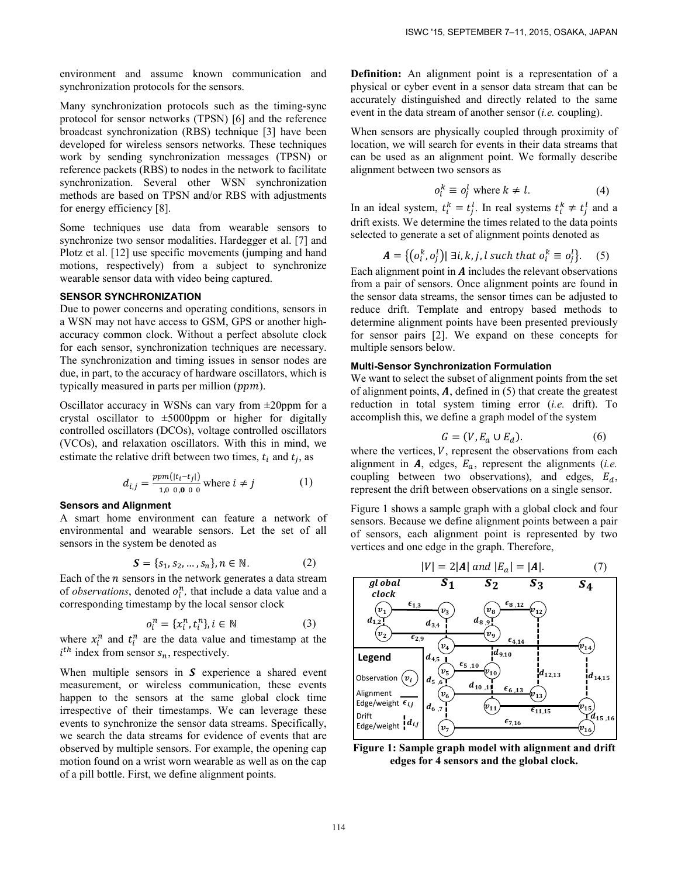environment and assume known communication and synchronization protocols for the sensors.

Many synchronization protocols such as the timing-sync protocol for sensor networks (TPSN) [6] and the reference broadcast synchronization (RBS) technique [3] have been developed for wireless sensors networks. These techniques work by sending synchronization messages (TPSN) or reference packets (RBS) to nodes in the network to facilitate synchronization. Several other WSN synchronization methods are based on TPSN and/or RBS with adjustments for energy efficiency [8].

Some techniques use data from wearable sensors to synchronize two sensor modalities. Hardegger et al. [7] and Plotz et al. [12] use specific movements (jumping and hand motions, respectively) from a subject to synchronize wearable sensor data with video being captured.

#### **SENSOR SYNCHRONIZATION**

Due to power concerns and operating conditions, sensors in a WSN may not have access to GSM, GPS or another highaccuracy common clock. Without a perfect absolute clock for each sensor, synchronization techniques are necessary. The synchronization and timing issues in sensor nodes are due, in part, to the accuracy of hardware oscillators, which is typically measured in parts per million  $(ppm)$ .

Oscillator accuracy in WSNs can vary from  $\pm 20$ ppm for a crystal oscillator to  $\pm 5000$ ppm or higher for digitally controlled oscillators (DCOs), voltage controlled oscillators (VCOs), and relaxation oscillators. With this in mind, we estimate the relative drift between two times,  $t_i$  and  $t_i$ , as

$$
d_{i,j} = \frac{ppm(|t_i - t_j|)}{1,000,000} \text{ where } i \neq j \tag{1}
$$

#### **Sensors and Alignment**

A smart home environment can feature a network of environmental and wearable sensors. Let the set of all sensors in the system be denoted as

$$
S = \{s_1, s_2, ..., s_n\}, n \in \mathbb{N}.
$$
 (2)

Each of the  $n$  sensors in the network generates a data stream of *observations*, denoted  $o_i^n$ , that include a data value and a corresponding timestamp by the local sensor clock

$$
o_i^n = \{x_i^n, t_i^n\}, i \in \mathbb{N} \tag{3}
$$

where  $x_i^n$  and  $t_i^n$  are the data value and timestamp at the  $i^{th}$  index from sensor  $s_n$ , respectively.

When multiple sensors in  $S$  experience a shared event measurement, or wireless communication, these events happen to the sensors at the same global clock time irrespective of their timestamps. We can leverage these events to synchronize the sensor data streams. Specifically, we search the data streams for evidence of events that are observed by multiple sensors. For example, the opening cap motion found on a wrist worn wearable as well as on the cap of a pill bottle. First, we define alignment points.

**Definition:** An alignment point is a representation of a physical or cyber event in a sensor data stream that can be accurately distinguished and directly related to the same event in the data stream of another sensor (*i.e.* coupling).

When sensors are physically coupled through proximity of location, we will search for events in their data streams that can be used as an alignment point. We formally describe alignment between two sensors as

$$
o_i^k \equiv o_j^l \text{ where } k \neq l. \tag{4}
$$

In an ideal system,  $t_i^k = t_j^l$ . In real systems  $t_i^k \neq t_j^l$  and a drift exists. We determine the times related to the data points selected to generate a set of alignment points denoted as

$$
\mathbf{A} = \{ (o_i^k, o_j^l) | \exists i, k, j, l \text{ such that } o_i^k \equiv o_j^l \}. \tag{5}
$$

Each alignment point in  $\vec{A}$  includes the relevant observations from a pair of sensors. Once alignment points are found in the sensor data streams, the sensor times can be adjusted to reduce drift. Template and entropy based methods to determine alignment points have been presented previously for sensor pairs [2]. We expand on these concepts for multiple sensors below.

# **Multi-Sensor Synchronization Formulation**

We want to select the subset of alignment points from the set of alignment points,  $\boldsymbol{A}$ , defined in (5) that create the greatest reduction in total system timing error (*i.e.* drift). To accomplish this, we define a graph model of the system

$$
G = (V, E_a \cup E_d). \tag{6}
$$

where the vertices,  $V$ , represent the observations from each alignment in  $\vec{A}$ , edges,  $E_a$ , represent the alignments (*i.e.*) coupling between two observations), and edges,  $E_d$ , represent the drift between observations on a single sensor.

Figure 1 shows a sample graph with a global clock and four sensors. Because we define alignment points between a pair of sensors, each alignment point is represented by two vertices and one edge in the graph. Therefore,



**Figure 1: Sample graph model with alignment and drift edges for 4 sensors and the global clock.**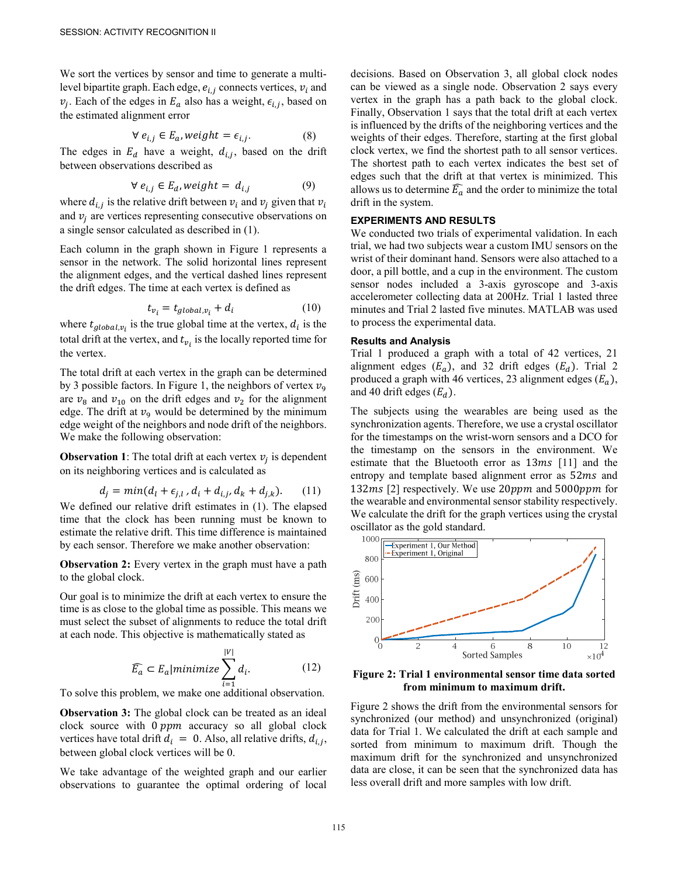We sort the vertices by sensor and time to generate a multilevel bipartite graph. Each edge,  $e_{i,j}$  connects vertices,  $v_i$  and  $v_j$ . Each of the edges in  $E_a$  also has a weight,  $\epsilon_{i,j}$ , based on the estimated alignment error

$$
\forall e_{i,j} \in E_a, weight = \epsilon_{i,j}.
$$
 (8)

The edges in  $E_d$  have a weight,  $d_{i,j}$ , based on the drift between observations described as

$$
\forall e_{i,j} \in E_d, weight = d_{i,j} \tag{9}
$$

where  $d_{i,j}$  is the relative drift between  $v_i$  and  $v_j$  given that  $v_i$ and  $v_i$  are vertices representing consecutive observations on a single sensor calculated as described in (1).

Each column in the graph shown in Figure 1 represents a sensor in the network. The solid horizontal lines represent the alignment edges, and the vertical dashed lines represent the drift edges. The time at each vertex is defined as

$$
t_{v_i} = t_{global,v_i} + d_i \tag{10}
$$

where  $t_{global,v_i}$  is the true global time at the vertex,  $d_i$  is the total drift at the vertex, and  $t_{v_i}$  is the locally reported time for the vertex.

The total drift at each vertex in the graph can be determined by 3 possible factors. In Figure 1, the neighbors of vertex  $v<sub>9</sub>$ are  $v_8$  and  $v_{10}$  on the drift edges and  $v_2$  for the alignment edge. The drift at  $v<sub>9</sub>$  would be determined by the minimum edge weight of the neighbors and node drift of the neighbors. We make the following observation:

**Observation 1**: The total drift at each vertex  $v_i$  is dependent on its neighboring vertices and is calculated as

$$
d_j = min(d_l + \epsilon_{j,l}, d_i + d_{i,j}, d_k + d_{j,k}).
$$
 (11)

We defined our relative drift estimates in (1). The elapsed time that the clock has been running must be known to estimate the relative drift. This time difference is maintained by each sensor. Therefore we make another observation:

**Observation 2:** Every vertex in the graph must have a path to the global clock.

Our goal is to minimize the drift at each vertex to ensure the time is as close to the global time as possible. This means we must select the subset of alignments to reduce the total drift at each node. This objective is mathematically stated as

$$
\widehat{E_a} \subset E_a |minimize \sum_{i=1}^{|V|} d_i.
$$
 (12)

To solve this problem, we make one additional observation.

**Observation 3:** The global clock can be treated as an ideal clock source with  $0 ppm$  accuracy so all global clock vertices have total drift  $d_i = 0$ . Also, all relative drifts,  $d_{i,j}$ , between global clock vertices will be 0.

We take advantage of the weighted graph and our earlier observations to guarantee the optimal ordering of local

decisions. Based on Observation 3, all global clock nodes can be viewed as a single node. Observation 2 says every vertex in the graph has a path back to the global clock. Finally, Observation 1 says that the total drift at each vertex is influenced by the drifts of the neighboring vertices and the weights of their edges. Therefore, starting at the first global clock vertex, we find the shortest path to all sensor vertices. The shortest path to each vertex indicates the best set of edges such that the drift at that vertex is minimized. This allows us to determine  $\widehat{E_a}$  and the order to minimize the total drift in the system.

# **EXPERIMENTS AND RESULTS**

We conducted two trials of experimental validation. In each trial, we had two subjects wear a custom IMU sensors on the wrist of their dominant hand. Sensors were also attached to a door, a pill bottle, and a cup in the environment. The custom sensor nodes included a 3-axis gyroscope and 3-axis accelerometer collecting data at 200Hz. Trial 1 lasted three minutes and Trial 2 lasted five minutes. MATLAB was used to process the experimental data.

#### **Results and Analysis**

Trial 1 produced a graph with a total of 42 vertices, 21 alignment edges  $(E_a)$ , and 32 drift edges  $(E_d)$ . Trial 2 produced a graph with 46 vertices, 23 alignment edges  $(E_a)$ , and 40 drift edges  $(E_d)$ .

The subjects using the wearables are being used as the synchronization agents. Therefore, we use a crystal oscillator for the timestamps on the wrist-worn sensors and a DCO for the timestamp on the sensors in the environment. We estimate that the Bluetooth error as  $13ms$  [11] and the entropy and template based alignment error as  $52ms$  and 132 $ms$  [2] respectively. We use 20 $ppm$  and 5000 $ppm$  for the wearable and environmental sensor stability respectively. We calculate the drift for the graph vertices using the crystal oscillator as the gold standard.



**Figure 2: Trial 1 environmental sensor time data sorted from minimum to maximum drift.** 

Figure 2 shows the drift from the environmental sensors for synchronized (our method) and unsynchronized (original) data for Trial 1. We calculated the drift at each sample and sorted from minimum to maximum drift. Though the maximum drift for the synchronized and unsynchronized data are close, it can be seen that the synchronized data has less overall drift and more samples with low drift.